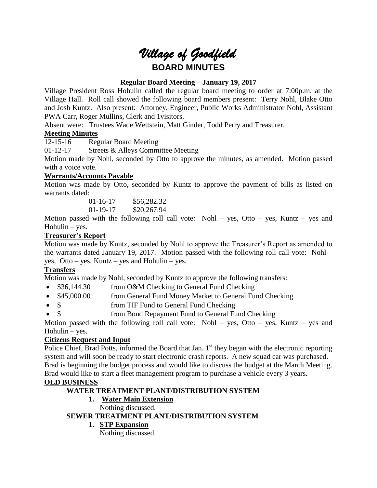# *Village of Goodfield* **BOARD MINUTES**

## **Regular Board Meeting – January 19, 2017**

Village President Ross Hohulin called the regular board meeting to order at 7:00p.m. at the Village Hall. Roll call showed the following board members present: Terry Nohl, Blake Otto and Josh Kuntz. Also present: Attorney, Engineer, Public Works Administrator Nohl, Assistant PWA Carr, Roger Mullins, Clerk and 1visitors.

Absent were: Trustees Wade Wettstein, Matt Ginder, Todd Perry and Treasurer.

## **Meeting Minutes**

12-15-16 Regular Board Meeting

01-12-17 Streets & Alleys Committee Meeting

Motion made by Nohl, seconded by Otto to approve the minutes, as amended. Motion passed with a voice vote.

## **Warrants/Accounts Payable**

Motion was made by Otto, seconded by Kuntz to approve the payment of bills as listed on warrants dated:

> 01-16-17 \$56,282.32 01-19-17 \$20,267.94

Motion passed with the following roll call vote: Nohl – yes, Otto – yes, Kuntz – yes and  $H$ ohulin – yes.

## **Treasurer's Report**

Motion was made by Kuntz, seconded by Nohl to approve the Treasurer's Report as amended to the warrants dated January 19, 2017. Motion passed with the following roll call vote: Nohl – yes, Otto – yes, Kuntz – yes and Hohulin – yes.

## **Transfers**

Motion was made by Nohl, seconded by Kuntz to approve the following transfers:

- \$36,144.30 from O&M Checking to General Fund Checking
- \$45,000.00 from General Fund Money Market to General Fund Checking
- \$ from TIF Fund to General Fund Checking
- \$ from Bond Repayment Fund to General Fund Checking

Motion passed with the following roll call vote: Nohl – yes, Otto – yes, Kuntz – yes and  $H$ ohulin – yes.

## **Citizens Request and Input**

Police Chief, Brad Potts, informed the Board that Jan.  $1<sup>st</sup>$  they began with the electronic reporting system and will soon be ready to start electronic crash reports. A new squad car was purchased. Brad is beginning the budget process and would like to discuss the budget at the March Meeting. Brad would like to start a fleet management program to purchase a vehicle every 3 years.

## **OLD BUSINESS**

## **WATER TREATMENT PLANT/DISTRIBUTION SYSTEM**

# **1. Water Main Extension**

Nothing discussed.

## **SEWER TREATMENT PLANT/DISTRIBUTION SYSTEM**

#### **1. STP Expansion**

Nothing discussed.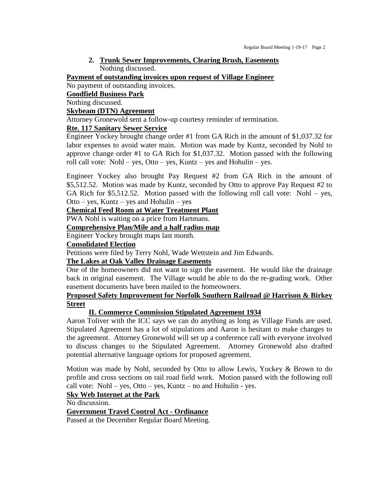## **2. Trunk Sewer Improvements, Clearing Brush, Easements** Nothing discussed.

**Payment of outstanding invoices upon request of Village Engineer**

No payment of outstanding invoices.

#### **Goodfield Business Park**

Nothing discussed.

#### **Skybeam (DTN) Agreement**

Attorney Gronewold sent a follow-up courtesy reminder of termination.

#### **Rte. 117 Sanitary Sewer Service**

Engineer Yockey brought change order #1 from GA Rich in the amount of \$1,037.32 for labor expenses to avoid water main. Motion was made by Kuntz, seconded by Nohl to approve change order #1 to GA Rich for \$1,037.32. Motion passed with the following roll call vote: Nohl – yes, Otto – yes, Kuntz – yes and Hohulin – yes.

Engineer Yockey also brought Pay Request #2 from GA Rich in the amount of \$5,512.52. Motion was made by Kuntz, seconded by Otto to approve Pay Request #2 to GA Rich for  $$5,512.52$ . Motion passed with the following roll call vote: Nohl – yes, Otto – yes, Kuntz – yes and Hohulin – yes

#### **Chemical Feed Room at Water Treatment Plant**

PWA Nohl is waiting on a price from Hartmans.

#### **Comprehensive Plan/Mile and a half radius map**

Engineer Yockey brought maps last month.

#### **Consolidated Election**

Petitions were filed by Terry Nohl, Wade Wettstein and Jim Edwards.

## **The Lakes at Oak Valley Drainage Easements**

One of the homeowners did not want to sign the easement. He would like the drainage back in original easement. The Village would be able to do the re-grading work. Other easement documents have been mailed to the homeowners.

#### **Proposed Safety Improvement for Norfolk Southern Railroad @ Harrison & Birkey Street**

#### **IL Commerce Commission Stipulated Agreement 1934**

Aaron Toliver with the ICC says we can do anything as long as Village Funds are used. Stipulated Agreement has a lot of stipulations and Aaron is hesitant to make changes to the agreement. Attorney Gronewold will set up a conference call with everyone involved to discuss changes to the Stipulated Agreement. Attorney Gronewold also drafted potential alternative language options for proposed agreement.

Motion was made by Nohl, seconded by Otto to allow Lewis, Yockey & Brown to do profile and cross sections on rail road field work. Motion passed with the following roll call vote: Nohl – yes, Otto – yes, Kuntz – no and Hohulin - yes.

# **Sky Web Internet at the Park**

No discussion.

#### **Government Travel Control Act - Ordinance**

Passed at the December Regular Board Meeting.